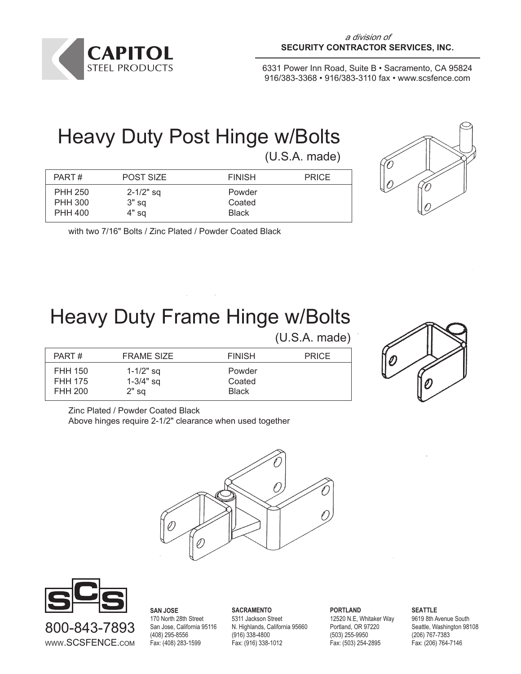

# Heavy Duty Post Hinge w/Bolts

(U.S.A. made)



| PART#          | POST SIZE     | <b>FINISH</b> | <b>PRICE</b> |
|----------------|---------------|---------------|--------------|
| <b>PHH 250</b> | $2 - 1/2"$ sq | Powder        |              |
| <b>PHH 300</b> | $3"$ sq       | Coated        |              |
| PHH 400        | 4" sa         | <b>Black</b>  |              |

with two 7/16" Bolts / Zinc Plated / Powder Coated Black

## Heavy Duty Frame Hinge w/Bolts

(U.S.A. made)



PART # FRAME SIZE FINISH PRICE FHH 150 1-1/2" sq Powder FHH 175 1-3/4" sq Coated FHH 200 2" sq Black

Zinc Plated / Powder Coated Black

Above hinges require 2-1/2" clearance when used together





**SAN JOSE** 170 North 28th Street San Jose, California 95116 (408) 295-8556 Fax: (408) 283-1599

**SACRAMENTO** 5311 Jackson Street N. Highlands, California 95660 (916) 338-4800 Fax: (916) 338-1012

**PORTLAND** 12520 N.E, Whitaker Way Portland, OR 97220 (503) 255-9950 Fax: (503) 254-2895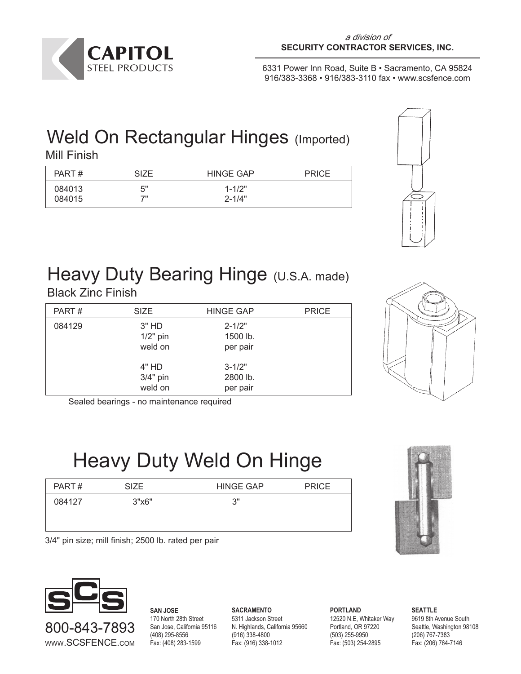

#### Weld On Rectangular Hinges (Imported) Mill Finish

| PART#  | <b>SIZE</b> | <b>HINGE GAP</b> | <b>PRICE</b> |
|--------|-------------|------------------|--------------|
| 084013 | 5"          | $1 - 1/2"$       |              |
| 084015 | ァ           | $2 - 1/4"$       |              |



## Heavy Duty Bearing Hinge (U.S.A. made)

Black Zinc Finish

| PART#  | <b>SIZE</b>                      | <b>HINGE GAP</b>                   | <b>PRICE</b> |
|--------|----------------------------------|------------------------------------|--------------|
| 084129 | $3"$ HD<br>$1/2"$ pin<br>weld on | $2 - 1/2"$<br>1500 lb.<br>per pair |              |
|        | 4" HD<br>$3/4"$ pin<br>weld on   | $3 - 1/2"$<br>2800 lb.<br>per pair |              |

Sealed bearings - no maintenance required

### Heavy Duty Weld On Hinge

| PART#  | SIZE. | <b>HINGE GAP</b> | <b>PRICE</b> |
|--------|-------|------------------|--------------|
| 084127 | 3"x6" | ٦"<br>ບ          |              |
|        |       |                  |              |
|        |       |                  |              |



3/4" pin size; mill finish; 2500 lb. rated per pair



800-843-7893 WWW.SCSFENCE.COM

**SAN JOSE** 170 North 28th Street San Jose, California 95116 (408) 295-8556 Fax: (408) 283-1599

**SACRAMENTO** 5311 Jackson Street N. Highlands, California 95660 (916) 338-4800 Fax: (916) 338-1012

**PORTLAND** 12520 N.E, Whitaker Way Portland, OR 97220 (503) 255-9950 Fax: (503) 254-2895

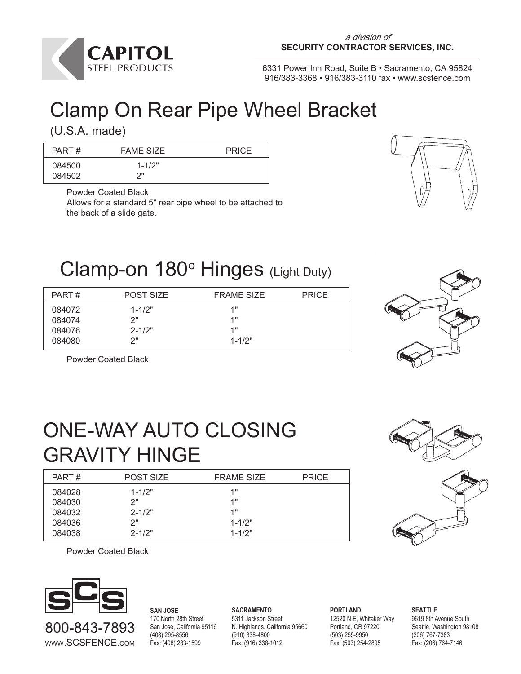

## Clamp On Rear Pipe Wheel Bracket

(U.S.A. made)

| PART#            | <b>FAME SIZE</b>  | <b>PRICE</b> |
|------------------|-------------------|--------------|
| 084500<br>084502 | $1 - 1/2"$<br>ייר |              |

Powder Coated Black

Allows for a standard 5" rear pipe wheel to be attached to the back of a slide gate.



#### Clamp-on 180° Hinges (Light Duty)

| PART#  | <b>POST SIZE</b> | <b>FRAME SIZE</b> | <b>PRICE</b> |
|--------|------------------|-------------------|--------------|
| 084072 | $1 - 1/2"$       | 1"                |              |
| 084074 | つ"               | 1"                |              |
| 084076 | $2 - 1/2"$       | 1"                |              |
| 084080 | ን"               | $1 - 1/2"$        |              |
|        |                  |                   |              |

Powder Coated Black



## ONE-WAY AUTO CLOSING GRAVITY HINGE

| PART#  | <b>POST SIZE</b> | <b>FRAME SIZE</b> | <b>PRICE</b> |
|--------|------------------|-------------------|--------------|
| 084028 | $1 - 1/2"$       | 1"                |              |
| 084030 | 2"               | 1"                |              |
| 084032 | $2 - 1/2"$       | 1"                |              |
| 084036 | 2"               | $1 - 1/2"$        |              |
| 084038 | $2 - 1/2"$       | $1 - 1/2"$        |              |



Powder Coated Black



800-843-7893 WWW.SCSFENCE.COM **SAN JOSE** 170 North 28th Street San Jose, California 95116 (408) 295-8556 Fax: (408) 283-1599

**SACRAMENTO** 5311 Jackson Street N. Highlands, California 95660 (916) 338-4800 Fax: (916) 338-1012

**PORTLAND** 12520 N.E, Whitaker Way Portland, OR 97220 (503) 255-9950 Fax: (503) 254-2895